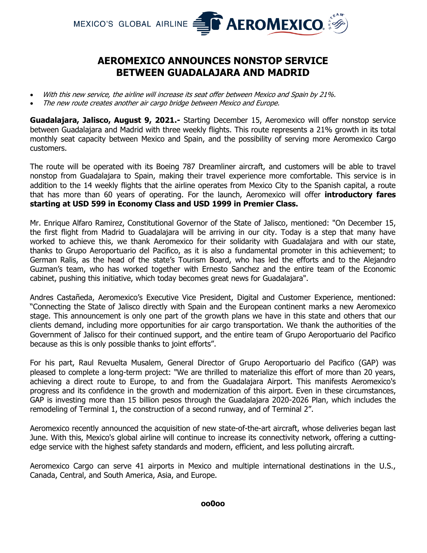

## **AEROMEXICO ANNOUNCES NONSTOP SERVICE BETWEEN GUADALAJARA AND MADRID**

- With this new service, the airline will increase its seat offer between Mexico and Spain by 21%.
- The new route creates another air cargo bridge between Mexico and Europe.

**Guadalajara, Jalisco, August 9, 2021.-** Starting December 15, Aeromexico will offer nonstop service between Guadalajara and Madrid with three weekly flights. This route represents a 21% growth in its total monthly seat capacity between Mexico and Spain, and the possibility of serving more Aeromexico Cargo customers.

The route will be operated with its Boeing 787 Dreamliner aircraft, and customers will be able to travel nonstop from Guadalajara to Spain, making their travel experience more comfortable. This service is in addition to the 14 weekly flights that the airline operates from Mexico City to the Spanish capital, a route that has more than 60 years of operating. For the launch, Aeromexico will offer **introductory fares starting at USD 599 in Economy Class and USD 1999 in Premier Class.**

Mr. Enrique Alfaro Ramirez, Constitutional Governor of the State of Jalisco, mentioned: "On December 15, the first flight from Madrid to Guadalajara will be arriving in our city. Today is a step that many have worked to achieve this, we thank Aeromexico for their solidarity with Guadalajara and with our state, thanks to Grupo Aeroportuario del Pacifico, as it is also a fundamental promoter in this achievement; to German Ralis, as the head of the state's Tourism Board, who has led the efforts and to the Alejandro Guzman's team, who has worked together with Ernesto Sanchez and the entire team of the Economic cabinet, pushing this initiative, which today becomes great news for Guadalajara".

Andres Castañeda, Aeromexico's Executive Vice President, Digital and Customer Experience, mentioned: "Connecting the State of Jalisco directly with Spain and the European continent marks a new Aeromexico stage. This announcement is only one part of the growth plans we have in this state and others that our clients demand, including more opportunities for air cargo transportation. We thank the authorities of the Government of Jalisco for their continued support, and the entire team of Grupo Aeroportuario del Pacifico because as this is only possible thanks to joint efforts".

For his part, Raul Revuelta Musalem, General Director of Grupo Aeroportuario del Pacifico (GAP) was pleased to complete a long-term project: "We are thrilled to materialize this effort of more than 20 years, achieving a direct route to Europe, to and from the Guadalajara Airport. This manifests Aeromexico's progress and its confidence in the growth and modernization of this airport. Even in these circumstances, GAP is investing more than 15 billion pesos through the Guadalajara 2020-2026 Plan, which includes the remodeling of Terminal 1, the construction of a second runway, and of Terminal 2".

Aeromexico recently announced the acquisition of new state-of-the-art aircraft, whose deliveries began last June. With this, Mexico's global airline will continue to increase its connectivity network, offering a cuttingedge service with the highest safety standards and modern, efficient, and less polluting aircraft.

Aeromexico Cargo can serve 41 airports in Mexico and multiple international destinations in the U.S., Canada, Central, and South America, Asia, and Europe.